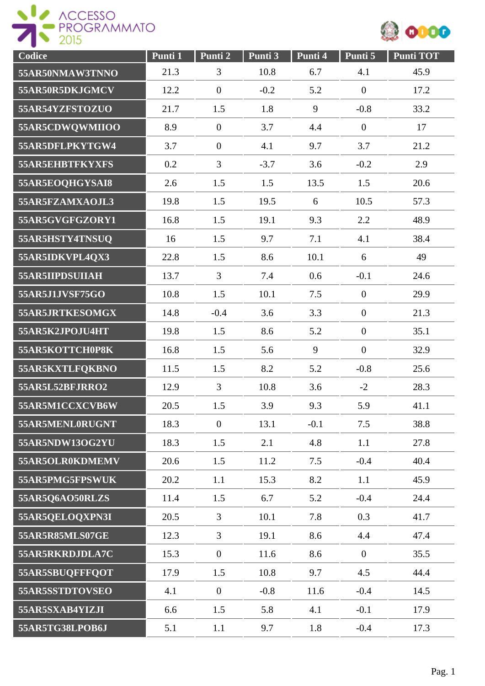



| Codice          | Punti 1 | Punti 2          | Punti 3 | Punti 4 | Punti 5        | <b>Punti TOT</b> |
|-----------------|---------|------------------|---------|---------|----------------|------------------|
| 55AR50NMAW3TNNO | 21.3    | 3                | 10.8    | 6.7     | 4.1            | 45.9             |
| 55AR50R5DKJGMCV | 12.2    | $\boldsymbol{0}$ | $-0.2$  | 5.2     | $\overline{0}$ | 17.2             |
| 55AR54YZFSTOZUO | 21.7    | 1.5              | 1.8     | 9       | $-0.8$         | 33.2             |
| 55AR5CDWQWMIIOO | 8.9     | $\overline{0}$   | 3.7     | 4.4     | $\overline{0}$ | 17               |
| 55AR5DFLPKYTGW4 | 3.7     | $\boldsymbol{0}$ | 4.1     | 9.7     | 3.7            | 21.2             |
| 55AR5EHBTFKYXFS | 0.2     | 3                | $-3.7$  | 3.6     | $-0.2$         | 2.9              |
| 55AR5EOQHGYSAI8 | 2.6     | 1.5              | 1.5     | 13.5    | 1.5            | 20.6             |
| 55AR5FZAMXAOJL3 | 19.8    | 1.5              | 19.5    | 6       | 10.5           | 57.3             |
| 55AR5GVGFGZORY1 | 16.8    | 1.5              | 19.1    | 9.3     | 2.2            | 48.9             |
| 55AR5HSTY4TNSUQ | 16      | 1.5              | 9.7     | 7.1     | 4.1            | 38.4             |
| 55AR5IDKVPL4QX3 | 22.8    | 1.5              | 8.6     | 10.1    | 6              | 49               |
| 55AR5IIPDSUIIAH | 13.7    | 3                | 7.4     | 0.6     | $-0.1$         | 24.6             |
| 55AR5J1JVSF75GO | 10.8    | 1.5              | 10.1    | 7.5     | $\overline{0}$ | 29.9             |
| 55AR5JRTKESOMGX | 14.8    | $-0.4$           | 3.6     | 3.3     | $\overline{0}$ | 21.3             |
| 55AR5K2JPOJU4HT | 19.8    | 1.5              | 8.6     | 5.2     | $\mathbf{0}$   | 35.1             |
| 55AR5KOTTCH0P8K | 16.8    | 1.5              | 5.6     | 9       | $\overline{0}$ | 32.9             |
| 55AR5KXTLFQKBNO | 11.5    | 1.5              | 8.2     | 5.2     | $-0.8$         | 25.6             |
| 55AR5L52BFJRRO2 | 12.9    | 3                | 10.8    | 3.6     | $-2$           | 28.3             |
| 55AR5M1CCXCVB6W | 20.5    | 1.5              | 3.9     | 9.3     | 5.9            | 41.1             |
| 55AR5MENL0RUGNT | 18.3    | $\overline{0}$   | 13.1    | $-0.1$  | 7.5            | 38.8             |
| 55AR5NDW13OG2YU | 18.3    | 1.5              | 2.1     | 4.8     | 1.1            | 27.8             |
| 55AR5OLR0KDMEMV | 20.6    | 1.5              | 11.2    | 7.5     | $-0.4$         | 40.4             |
| 55AR5PMG5FPSWUK | 20.2    | 1.1              | 15.3    | 8.2     | 1.1            | 45.9             |
| 55AR5Q6AO50RLZS | 11.4    | 1.5              | 6.7     | 5.2     | $-0.4$         | 24.4             |
| 55AR5QELOQXPN3I | 20.5    | 3                | 10.1    | 7.8     | 0.3            | 41.7             |
| 55AR5R85MLS07GE | 12.3    | 3                | 19.1    | 8.6     | 4.4            | 47.4             |
| 55AR5RKRDJDLA7C | 15.3    | $\boldsymbol{0}$ | 11.6    | 8.6     | $\overline{0}$ | 35.5             |
| 55AR5SBUQFFFQOT | 17.9    | 1.5              | 10.8    | 9.7     | 4.5            | 44.4             |
| 55AR5SSTDTOVSEO | 4.1     | $\boldsymbol{0}$ | $-0.8$  | 11.6    | $-0.4$         | 14.5             |
| 55AR5SXAB4YIZJI | 6.6     | 1.5              | 5.8     | 4.1     | $-0.1$         | 17.9             |
| 55AR5TG38LPOB6J | 5.1     | 1.1              | 9.7     | 1.8     | $-0.4$         | 17.3             |